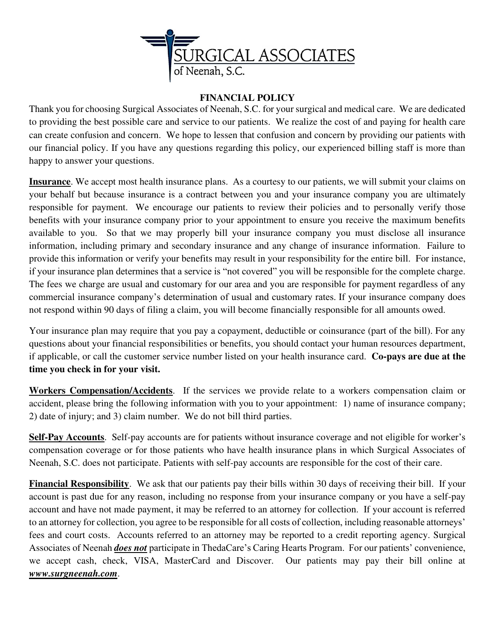

## **FINANCIAL POLICY**

Thank you for choosing Surgical Associates of Neenah, S.C. for your surgical and medical care. We are dedicated to providing the best possible care and service to our patients. We realize the cost of and paying for health care can create confusion and concern. We hope to lessen that confusion and concern by providing our patients with our financial policy. If you have any questions regarding this policy, our experienced billing staff is more than happy to answer your questions.

**Insurance**. We accept most health insurance plans. As a courtesy to our patients, we will submit your claims on your behalf but because insurance is a contract between you and your insurance company you are ultimately responsible for payment. We encourage our patients to review their policies and to personally verify those benefits with your insurance company prior to your appointment to ensure you receive the maximum benefits available to you. So that we may properly bill your insurance company you must disclose all insurance information, including primary and secondary insurance and any change of insurance information. Failure to provide this information or verify your benefits may result in your responsibility for the entire bill. For instance, if your insurance plan determines that a service is "not covered" you will be responsible for the complete charge. The fees we charge are usual and customary for our area and you are responsible for payment regardless of any commercial insurance company's determination of usual and customary rates. If your insurance company does not respond within 90 days of filing a claim, you will become financially responsible for all amounts owed.

Your insurance plan may require that you pay a copayment, deductible or coinsurance (part of the bill). For any questions about your financial responsibilities or benefits, you should contact your human resources department, if applicable, or call the customer service number listed on your health insurance card. **Co-pays are due at the time you check in for your visit.**

**Workers Compensation/Accidents**. If the services we provide relate to a workers compensation claim or accident, please bring the following information with you to your appointment: 1) name of insurance company; 2) date of injury; and 3) claim number. We do not bill third parties.

**Self-Pay Accounts**. Self-pay accounts are for patients without insurance coverage and not eligible for worker's compensation coverage or for those patients who have health insurance plans in which Surgical Associates of Neenah, S.C. does not participate. Patients with self-pay accounts are responsible for the cost of their care.

**Financial Responsibility**. We ask that our patients pay their bills within 30 days of receiving their bill. If your account is past due for any reason, including no response from your insurance company or you have a self-pay account and have not made payment, it may be referred to an attorney for collection. If your account is referred to an attorney for collection, you agree to be responsible for all costs of collection, including reasonable attorneys' fees and court costs. Accounts referred to an attorney may be reported to a credit reporting agency. Surgical Associates of Neenah *does not* participate in ThedaCare's Caring Hearts Program. For our patients' convenience, we accept cash, check, VISA, MasterCard and Discover. Our patients may pay their bill online at *www.surgneenah.com*.